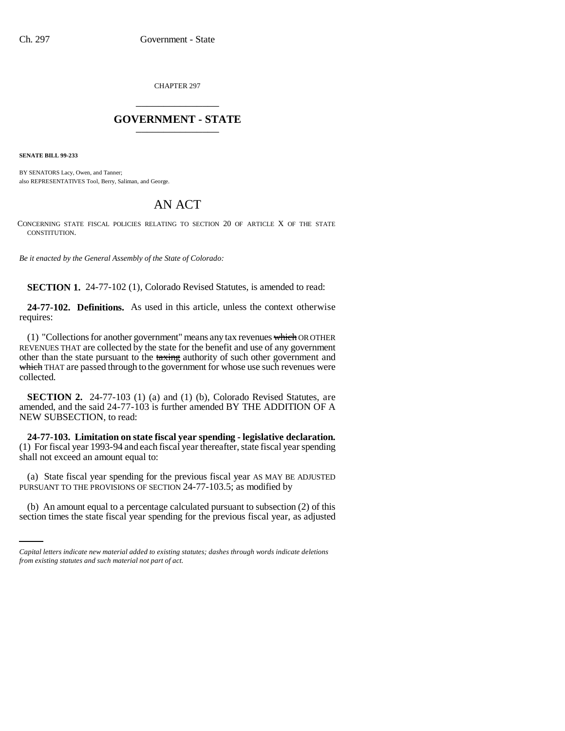CHAPTER 297 \_\_\_\_\_\_\_\_\_\_\_\_\_\_\_

## **GOVERNMENT - STATE** \_\_\_\_\_\_\_\_\_\_\_\_\_\_\_

**SENATE BILL 99-233** 

BY SENATORS Lacy, Owen, and Tanner; also REPRESENTATIVES Tool, Berry, Saliman, and George.

## AN ACT

CONCERNING STATE FISCAL POLICIES RELATING TO SECTION 20 OF ARTICLE X OF THE STATE CONSTITUTION.

*Be it enacted by the General Assembly of the State of Colorado:*

**SECTION 1.** 24-77-102 (1), Colorado Revised Statutes, is amended to read:

**24-77-102. Definitions.** As used in this article, unless the context otherwise requires:

(1) "Collections for another government" means any tax revenues which OR OTHER REVENUES THAT are collected by the state for the benefit and use of any government other than the state pursuant to the taxing authority of such other government and which THAT are passed through to the government for whose use such revenues were collected.

**SECTION 2.** 24-77-103 (1) (a) and (1) (b), Colorado Revised Statutes, are amended, and the said 24-77-103 is further amended BY THE ADDITION OF A NEW SUBSECTION, to read:

**24-77-103. Limitation on state fiscal year spending - legislative declaration.** (1) For fiscal year 1993-94 and each fiscal year thereafter, state fiscal year spending shall not exceed an amount equal to:

PURSUANT TO THE PROVISIONS OF SECTION 24-77-103.5; as modified by (a) State fiscal year spending for the previous fiscal year AS MAY BE ADJUSTED

(b) An amount equal to a percentage calculated pursuant to subsection (2) of this section times the state fiscal year spending for the previous fiscal year, as adjusted

*Capital letters indicate new material added to existing statutes; dashes through words indicate deletions from existing statutes and such material not part of act.*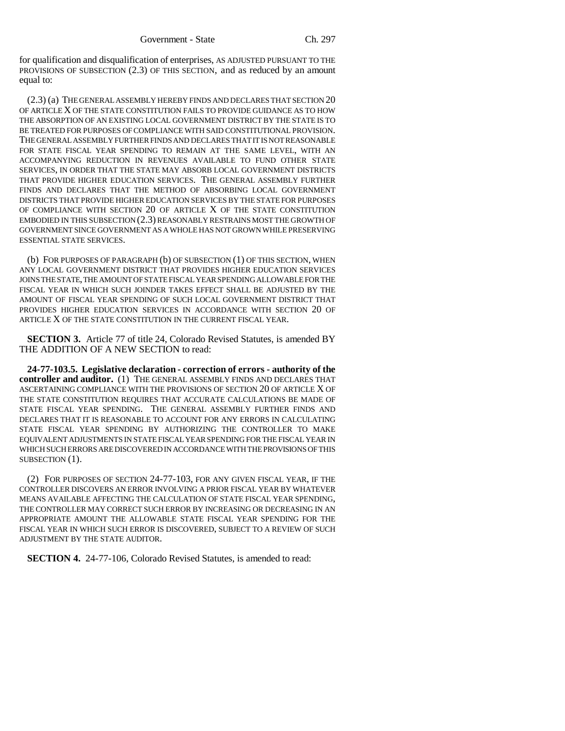for qualification and disqualification of enterprises, AS ADJUSTED PURSUANT TO THE PROVISIONS OF SUBSECTION (2.3) OF THIS SECTION, and as reduced by an amount equal to:

(2.3) (a) THE GENERAL ASSEMBLY HEREBY FINDS AND DECLARES THAT SECTION 20 OF ARTICLE X OF THE STATE CONSTITUTION FAILS TO PROVIDE GUIDANCE AS TO HOW THE ABSORPTION OF AN EXISTING LOCAL GOVERNMENT DISTRICT BY THE STATE IS TO BE TREATED FOR PURPOSES OF COMPLIANCE WITH SAID CONSTITUTIONAL PROVISION. THE GENERAL ASSEMBLY FURTHER FINDS AND DECLARES THAT IT IS NOT REASONABLE FOR STATE FISCAL YEAR SPENDING TO REMAIN AT THE SAME LEVEL, WITH AN ACCOMPANYING REDUCTION IN REVENUES AVAILABLE TO FUND OTHER STATE SERVICES, IN ORDER THAT THE STATE MAY ABSORB LOCAL GOVERNMENT DISTRICTS THAT PROVIDE HIGHER EDUCATION SERVICES. THE GENERAL ASSEMBLY FURTHER FINDS AND DECLARES THAT THE METHOD OF ABSORBING LOCAL GOVERNMENT DISTRICTS THAT PROVIDE HIGHER EDUCATION SERVICES BY THE STATE FOR PURPOSES OF COMPLIANCE WITH SECTION 20 OF ARTICLE X OF THE STATE CONSTITUTION EMBODIED IN THIS SUBSECTION (2.3) REASONABLY RESTRAINS MOST THE GROWTH OF GOVERNMENT SINCE GOVERNMENT AS A WHOLE HAS NOT GROWN WHILE PRESERVING ESSENTIAL STATE SERVICES.

(b) FOR PURPOSES OF PARAGRAPH (b) OF SUBSECTION (1) OF THIS SECTION, WHEN ANY LOCAL GOVERNMENT DISTRICT THAT PROVIDES HIGHER EDUCATION SERVICES JOINS THE STATE, THE AMOUNT OF STATE FISCAL YEAR SPENDING ALLOWABLE FOR THE FISCAL YEAR IN WHICH SUCH JOINDER TAKES EFFECT SHALL BE ADJUSTED BY THE AMOUNT OF FISCAL YEAR SPENDING OF SUCH LOCAL GOVERNMENT DISTRICT THAT PROVIDES HIGHER EDUCATION SERVICES IN ACCORDANCE WITH SECTION 20 OF ARTICLE X OF THE STATE CONSTITUTION IN THE CURRENT FISCAL YEAR.

**SECTION 3.** Article 77 of title 24, Colorado Revised Statutes, is amended BY THE ADDITION OF A NEW SECTION to read:

**24-77-103.5. Legislative declaration - correction of errors - authority of the controller and auditor.** (1) THE GENERAL ASSEMBLY FINDS AND DECLARES THAT ASCERTAINING COMPLIANCE WITH THE PROVISIONS OF SECTION 20 OF ARTICLE X OF THE STATE CONSTITUTION REQUIRES THAT ACCURATE CALCULATIONS BE MADE OF STATE FISCAL YEAR SPENDING. THE GENERAL ASSEMBLY FURTHER FINDS AND DECLARES THAT IT IS REASONABLE TO ACCOUNT FOR ANY ERRORS IN CALCULATING STATE FISCAL YEAR SPENDING BY AUTHORIZING THE CONTROLLER TO MAKE EQUIVALENT ADJUSTMENTS IN STATE FISCAL YEAR SPENDING FOR THE FISCAL YEAR IN WHICH SUCH ERRORS ARE DISCOVERED IN ACCORDANCE WITH THE PROVISIONS OF THIS SUBSECTION (1).

(2) FOR PURPOSES OF SECTION 24-77-103, FOR ANY GIVEN FISCAL YEAR, IF THE CONTROLLER DISCOVERS AN ERROR INVOLVING A PRIOR FISCAL YEAR BY WHATEVER MEANS AVAILABLE AFFECTING THE CALCULATION OF STATE FISCAL YEAR SPENDING, THE CONTROLLER MAY CORRECT SUCH ERROR BY INCREASING OR DECREASING IN AN APPROPRIATE AMOUNT THE ALLOWABLE STATE FISCAL YEAR SPENDING FOR THE FISCAL YEAR IN WHICH SUCH ERROR IS DISCOVERED, SUBJECT TO A REVIEW OF SUCH ADJUSTMENT BY THE STATE AUDITOR.

**SECTION 4.** 24-77-106, Colorado Revised Statutes, is amended to read: